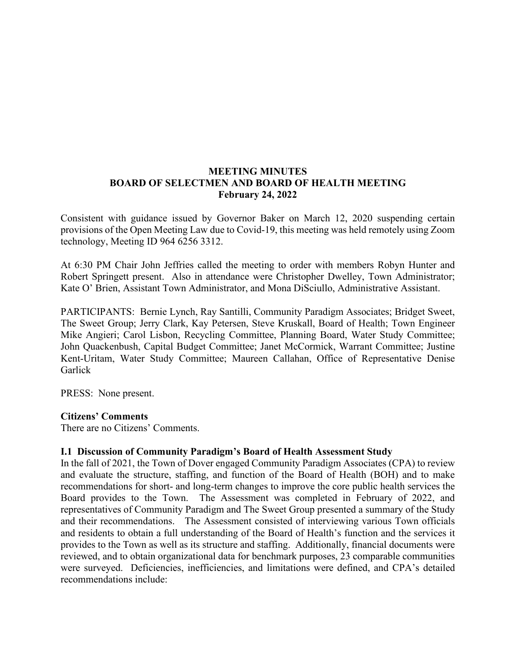# **MEETING MINUTES BOARD OF SELECTMEN AND BOARD OF HEALTH MEETING February 24, 2022**

Consistent with guidance issued by Governor Baker on March 12, 2020 suspending certain provisions of the Open Meeting Law due to Covid-19, this meeting was held remotely using Zoom technology, Meeting ID 964 6256 3312.

At 6:30 PM Chair John Jeffries called the meeting to order with members Robyn Hunter and Robert Springett present. Also in attendance were Christopher Dwelley, Town Administrator; Kate O' Brien, Assistant Town Administrator, and Mona DiSciullo, Administrative Assistant.

PARTICIPANTS: Bernie Lynch, Ray Santilli, Community Paradigm Associates; Bridget Sweet, The Sweet Group; Jerry Clark, Kay Petersen, Steve Kruskall, Board of Health; Town Engineer Mike Angieri; Carol Lisbon, Recycling Committee, Planning Board, Water Study Committee; John Quackenbush, Capital Budget Committee; Janet McCormick, Warrant Committee; Justine Kent-Uritam, Water Study Committee; Maureen Callahan, Office of Representative Denise Garlick

PRESS: None present.

#### **Citizens' Comments**

There are no Citizens' Comments.

### **I.1 Discussion of Community Paradigm's Board of Health Assessment Study**

In the fall of 2021, the Town of Dover engaged Community Paradigm Associates (CPA) to review and evaluate the structure, staffing, and function of the Board of Health (BOH) and to make recommendations for short- and long-term changes to improve the core public health services the Board provides to the Town. The Assessment was completed in February of 2022, and representatives of Community Paradigm and The Sweet Group presented a summary of the Study and their recommendations. The Assessment consisted of interviewing various Town officials and residents to obtain a full understanding of the Board of Health's function and the services it provides to the Town as well as its structure and staffing. Additionally, financial documents were reviewed, and to obtain organizational data for benchmark purposes, 23 comparable communities were surveyed. Deficiencies, inefficiencies, and limitations were defined, and CPA's detailed recommendations include: